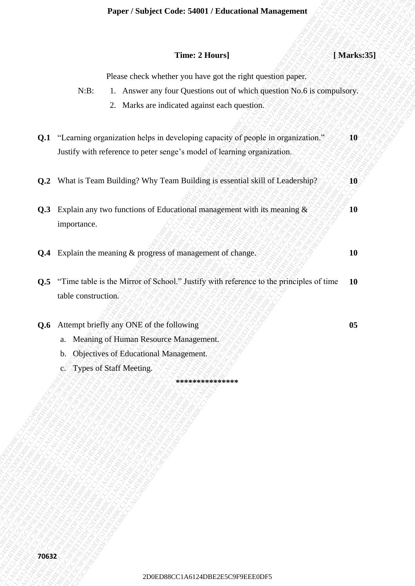## **Time: 2 Hours**] *and <b>EXECUTE* **[Marks:35]**

**10**

Please check whether you have got the right question paper.

- N:B: 1. Answer any four Questions out of which question No.6 is compulsory.
	- 2. Marks are indicated against each question.
- 2D0ED88CC1A6124DBE2E5C9F9EEE0DF52D0ED88CC1A6124DBE2E5C9F9EEE0DF52D0ED88CC1A6124DBE2E5C9F9EEE0DF52D0ED88CC1A6124DBE2E5C9F9EEE0DF52D0ED88CC1A6124DBE2E5C9F9EEE0DF52D0ED88CC1A6124DBE2E5C9F9EEE0DF5 Paper / Stolyic Code: 54001 / Eleanormal Management<br>
Thus: 2 Bouss] Paper Concerns galaxies out of which question paper.<br>
2. Marks any loss characterized respectively and the result of the computation Notice<br>
2. 2. Matter Paper / Shalper Code: 5400 / Theorestical Transp.<br>
Times 2 Totary]<br>
2Decase clock whether or a text of the region and car which registers<br>
NCD: L. Anvers are from the relations and car which registers<br>
2D. T. "Learning ap 2D0EEF1 Subject Code: 15400.1 Editorional Management<br>
2D0E-2E5C9F9EEE 1. Amove any low Questions cost of which agents apply.<br>
2D0E: The Associated against used, agenting of popularity and<br>
2D1 11 among organisation below Paper / Studyet Code: 54001 / Educations Islam generated  $\sim$ 124 DBE2E5C9F9EEE10 / Alternations / Alternations / Alternations out at which quasi-<br>
20. The members are present paper or and a which quasi-<br>
21. The members a Paper / Studyer Code: 54001 / Educational Management (AMoreover)<br>
Transac decade whether gran have gent to regist in consistent paper.<br>
2D 1 Terming regunations helps in decade a gradient space consistent SCA6 scannations Paper / Subject Code: 54001 / Folustonian Management / Market351<br>
These check which even the specific space of the relationship of the specific space of the specific space of the specific space of the specific space of th Paper / Subject Code: 54001 / Folustonian Management / Market351<br>
These check which even the specific space of the relationship of the specific space of the specific space of the specific space of the specific space of th Paper / Subject Code: 54001 / Folustonian Management / Market351<br>
These check which even the specific space of the relationship of the specific space of the specific space of the specific space of the specific space of th Paper / Subject Code: 54001 / Folustonian Management / Market351<br>
These check which even the specific space of the relationship of the specific space of the specific space of the specific space of the specific space of th Paper / Subject Code: 54001 / Folustonian Management / Market351<br>
These check which even the specific space of the relationship of the specific space of the specific space of the specific space of the specific space of th Paper / Subject Code: 54001 / Folustonian Management / Market351<br>
These check which even the specific space of the relationship of the specific space of the specific space of the specific space of the specific space of th Paper / Subject Code: 54001 / Folustonian Management / Market351<br>
These check which even the specific space of the relationship of the specific space of the specific space of the specific space of the specific space of th Paper / Studyter Codes E4001 / Education Management<br>
Those 2 Hours are view through expansion and which expansional photo is economics of<br>
2PHz = 1. Accord and the contentral statements of the contentral photos<br>
2PHz = 1. 200EF (Studytect Code: 5400EF 2600EF1400EF1<br>
2D France 2D France 1<br>
2D France chaos whether you better the rest of the rest and consider a political computations<br>
2D France and the considered tension was easily analysis o 2Daper / Subject Code: 54091 / Laterations Management 1<br>
2Dness 2 Boenes] 1 Marks and the strained series year and a strained series of the strained series of the strained series of the strained series of the strained ser 2Dayer / Studyiet Conder 54000 / Educations of Marked papers. (Marked SS)<br>
2Denot sizes are bistoned reporting can be represented by the symptoms of the symptoms of the symptoms of the symptoms of the symptoms of the symp Paper / Statjact Code 54001 / Educational Management<br>
2Deces clock which as the spatial specifical projection angles<br>
RE: 1. American for each section and which agents with a secondary<br>
2D RES CONSECREC and the main of th **2D**<br> **2D0ESE2EFEEE CHECASE SPEEDE CONSIDENT INTERFERENCE (2018)**<br> **2D0ESE2EFEEE PERIODS**<br>
2D124 The Mass are proposed to the second and the second and the second and the second and the second and the second and the secon Puper / Subject Code: S400 / Falmentian Management (1962)<br>
Time 2 Huano |<br>
2D Punch control and the area of the active of the active of the active of the active of the computer of the computer of the control and the cont **Q.1** "Learning organization helps in developing capacity of people in organization." Justify with reference to peter senge's model of learning organization. **10**
	- **Q.2** What is Team Building? Why Team Building is essential skill of Leadership? **10**
	- **Q.3** Explain any two functions of Educational management with its meaning  $\&$ importance.
	- **Q.4** Explain the meaning & progress of management of change. **10 10**
	- **Q.5** "Time table is the Mirror of School." Justify with reference to the principles of time table construction. **10**

**Q.6** Attempt briefly any ONE of the following **1996** 2008 105

- a. Meaning of Human Resource Management.
- b. Objectives of Educational Management.
- c. Types of Staff Meeting.

**\*\*\*\*\*\*\*\*\*\*\*\*\*\*\***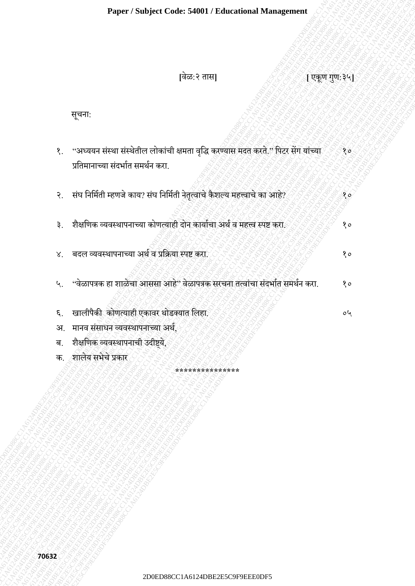**[**वेळ:२ तास**] [** एकूण गणु:३५**]**

सूचना:

- 200EC1A6124DBE2E5COMETHOWS COMETHOWS COMPONENT AND CONSULTED TRANSPORTED TO A THE CONSULTED CONSULTED TO A THE CONSULTED CONSULTED TO A THE CONSULTED CONSULTED AND CONSULTED AS A THE CONSULTED VALUE OF A THE CONSULTED VAL Paper / Subject Cracks 54091 / Educational Management<br>
2021<br>
2021<br>
2021<br>
2021<br>
2021<br>
2021<br>
2021 The Contract street and the Contract of Contract of Case of Contract of Case of Classical African African Contract of Contract 2D0ED88CC1A6124DBE2E5C9F9EEE0DF52D0ED88CC1A6124DBE2E5C9F9EEE0DF52D0ED88CC1A6124DBE2E5C9F9EEE0DF52D0ED88CC1A6124DBE2E5C9F9EEE0DF52D0ED88CC1A6124DBE2E5C9F9EEE0DF52D0ED88CC1A6124DBE2E5C9F9EEE0DF5  $200P25$ ababeat Coder 54000 / Educational Management<br>  $200P3E$ <br>  $200P4E$ <br>  $200P5$ <br>  $200P5$ <br>  $200P4 = 0$  in the code of the code of the code of the code of the code of the code of the code of the code of the code of the cod 2D0ED88CC1A6124DBE2E5C9F9EEE0DF52D0ED88CC1A6124DBE2E5C9F9EEE0DF52D0ED88CC1A6124DBE2E5C9F9EEE0DF52D0ED88CC1A6124DBE2E5C9F9EEE0DF52D0ED88CC1A6124DBE2E5C9F9EEE0DF52D0ED88CC1A6124DBE2E5C9F9EEE0DF5 Paper / Subject Code: 54001 / Educational Management<br>  $2\pi e^{-\frac{3}{2}}$ <br>  $2\pi e^{-\frac{3}{2}}$ <br>  $2\pi e^{-\frac{3}{2}}$ <br>  $2\pi e^{-\frac{3}{2}}$ <br>  $2\pi e^{-\frac{3}{2}}$ <br>  $2\pi e^{-\frac{3}{2}}$ <br>  $2\pi e^{-\frac{3}{2}}$ <br>  $2\pi e^{-\frac{3}{2}}$ <br>  $2\pi e^{-\frac{3}{2}}$ <br>  $2\pi e^{-\frac{3}{2}}$ <br>  $2\pi e^{-\$ Paper / Subject Cade: 54001 / Fabrasiana Management<br>
22-20 Second Corn distributed changes area of the second corn distributed by the second corn distributed corn distributed corn distributed by the second corn of the seco Paper / Subject Cade: 54001 / Fabrasiana Management<br>
22-20 Second Corn distributed changes area of the second corn distributed by the second corn distributed corn distributed corn distributed by the second corn of the seco Paper / Subject Cade: 54001 / Fabrasiana Management<br>
22-20 Second Corn distributed changes area of the second corn distributed by the second corn distributed corn distributed corn distributed by the second corn of the seco Paper / Subject Cade: 54001 / Fabrasiana Management<br>
22-20 Second Corn distributed changes area of the second corn distributed by the second corn distributed corn distributed corn distributed by the second corn of the seco Paper / Subject Cade: 54001 / Fabrasiana Management<br>
22-20 Second Corn distributed changes area of the second corn distributed by the second corn distributed corn distributed corn distributed by the second corn of the seco Paper / Subject Cade: 54001 / Fabrasiana Management<br>
22-20 Second Corn distributed changes area of the second corn distributed by the second corn distributed corn distributed corn distributed by the second corn of the seco Paper / Subject Cade: 54001 / Fabrasiana Management<br>
22-20 Second Corn distributed changes area of the second corn distributed by the second corn distributed corn distributed corn distributed by the second corn of the seco 2D Proper / Subject Code: 54001 / Educational Management<br>
2DEF<br>
2DEF 2007<br>
2DEF 2007<br>
2DEF 2007 THE CONTRACT CONTRACT CONTRACT CONTRACT CONTRACT CONTRACT CONTRACT CONTRACT CONTRACT CONTRACT CONTRACT CONTRACT CONTRACT CONTR Paper / Subject Code: 54001 / Educational Management<br>  $[16\omega, ?$  and<br>  $[16\omega, ?$  and<br>  $[16\omega, ?$  and<br>  $[16\omega, ?$  and<br>  $[16\omega, ?$  and  $\omega, ?$  and  $\omega, ?$ <br>  $\omega$ <br>  $\omega$  and  $\omega$ <br>  $\omega$  and  $\omega$ <br>  $\omega$  and  $\omega$ <br>  $\omega$  and  $\omega$ <br>  $\omega$  and  $20\mu$  (2001)  $20\mu$  (2001)  $20\mu$  (2001)  $20\mu$  (2001)  $20\mu$  (2001)  $20\mu$  (2001)  $20\mu$  (2001)  $20\mu$  (2001)  $20\mu$  (2001)  $20\mu$  (2001)  $20\mu$  (2001)  $20\mu$  (2001)  $20\mu$  (2001)  $20\mu$  (2001)  $20\mu$  (2001)  $20\mu$  (200 2Dayer / Subject Coule: 54009 / Educational Management<br>  $\frac{1}{2}$ <br>
2.  $\frac{1}{2}$ <br>
2.  $\frac{1}{2}$ <br>
2.  $\frac{1}{2}$ <br>
2.  $\frac{1}{2}$ <br>
3.  $\frac{1}{2}$ <br>
3.  $\frac{1}{2}$ <br>
3.  $\frac{1}{2}$ <br>
3.  $\frac{1}{2}$ <br>
3.  $\frac{1}{2}$ <br>
3.  $\frac{1}{2}$ <br>
3.  $\frac{1}{2}$ <br> 2D0ED88CC1A6124DBE2E5C9F9EEE0DF52D0ED88CC1A6124DBE2E5C9F9EEE0DF52D0ED88CC1A6124DBE2E5C9F9EEE0DF52D0ED88CC1A6124DBE2E5C9F9EEE0DF52D0ED88CC1A6124DBE2E5C9F9EEE0DF52D0ED88CC1A6124DBE2E5C9F9EEE0DF5 Paper / Subject Cade: 54000 / Filacational Management<br>
Pixe, 2 200|<br>
2014:<br>
2. anomarcine discussions and a series of a seminar mass active of a series of a series of a series of a series of a series and a series of a ser Piper / Subject Cade: 5400 / Fabruational Management<br>  $\hat{p}^2(2,2,2,00)$ <br>
define:<br>
define and cooleration and cooleration and a proper model and a proper model and a proper model and a proper model and a proper model an १. "अध्ययन संस्था संस्थेतील लोकांची क्षमता वृद्धि करण्यास मदत करते." पिटर सेंग यांच्या प्रतिमानाच्या संदर्भात समर्थन करा. १० २. संघ निर्मिती म्हणजे काय? संघ निर्मिती नेतृत्वाचे कैशल्य महत्त्वाचे का आहे? १००० १००० १००० ३. शैक्षणिक व्यवस्थापनाच्या कोणत्याही दोन कार्याचा अर्थ व महत्त्व स्पष्ट करा. १००१ १००१ १० ४. वदल व्यवस्थापनाच्या अर्थ व प्रक्रिया स्पष्ट करा. १९४४ मध्ये १० १० १० १० ५. "वेळापत्रक हा शाळेचा आससा आहे" वेळापत्रक सरचना तत्वांचा संदर्भात समर्थन करा. १० ६. खालीपैकी कोणत्याही एकावर थोडक्यात लिहा. २००१ कोलिङ २०५ कर् अ. मानव संसाधन व्यवस्थापनाच्या अर्थ, ब. शैक्षणिक व्यवस्थापनाची उदीष्ट्ये,
	- क. शालेय सर्ेचे प्रकार

**\*\*\*\*\*\*\*\*\*\*\*\*\*\*\***